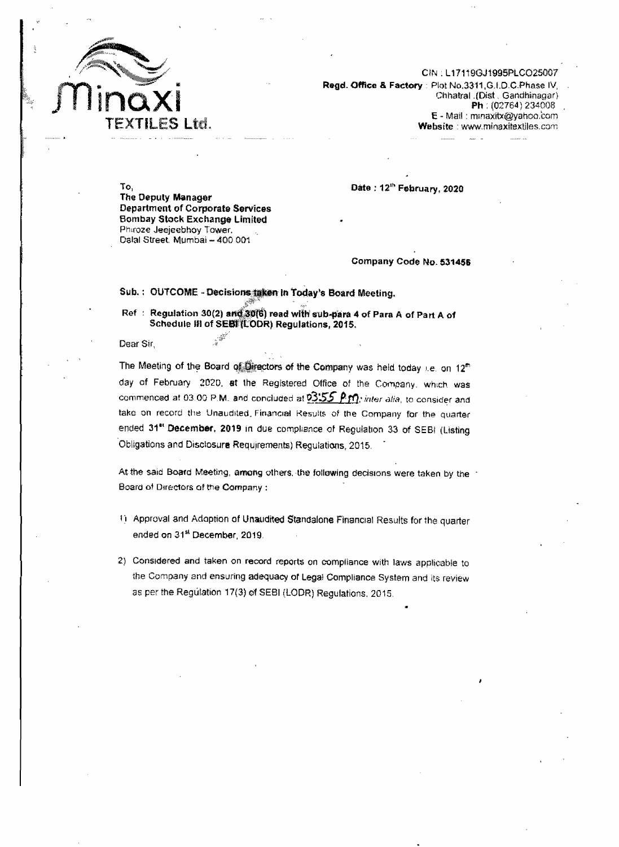

CIN . L17119GJ1995PLC025007 Regd. Office & Factory : Plot No.3311.G.LD.C.Phase IV, Chhatral . (Dist . Gandhinagar) Ph : (02764) 234008 E-Mail: mmaxitX@yahOo.oom Website: www.minaxitextiles.com

To, The Oeputy Manager Department of Corporate Services Bombay Stock Exchange Limited Phiroze Jeejeebhoy Tower. Dalal Street. Mumbai - 400 001

Date: 12<sup>th</sup> February, 2020

Company Code No. 531456

## Sub.: OUTCOME - Decisions taken in Today's Board Meeting.

Ref : Regulation 30(2) and 30(6) read with sub-para 4 of Para A of Part A of Schedule III of SEBF(LODR) Regulations, 2015.<br>ir

Dear Sir,

The Meeting of the Board of Greetors of the Company was held today i.e. on  $12^m$ day of February 202D. st the Registered Office of the Company, which was commenced at 03.00 P.M. and concluded at  $03:55$  P  $m$ ; inter alia, to consider and take on record the Unaudited Financial Results of the Company for the quarter ended 31<sup>et</sup> December. 2019 in due compliance of Regulation 33 of SEBI (Listing Obligations and Disclosure Requirements) Regulations, 2015.

At the said Board Meeting, among others, the following decisions were taken by the Board of Directors of the Company:

- <sup>1</sup>'1 Approval and Adoption at Unaudited Standalone FinanCial Results for the quarter ended on 31<sup>st</sup> December, 2019.
- 2) Considered and taken on record reports on compliance with laws applicable to the Company and ensuring adequacy of Legal Compliance System and its review as per the Regulation 17(3) of SEBI (LODR) Regulations. 2015.